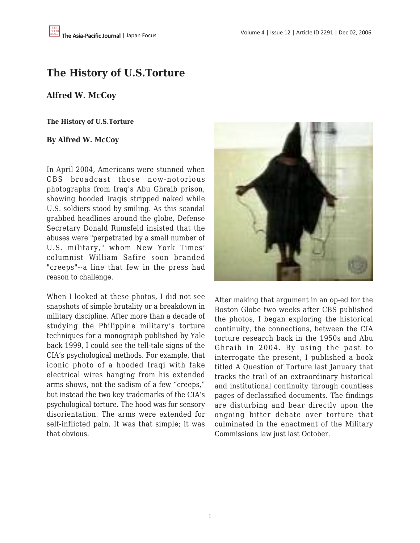# **The History of U.S.Torture**

# **Alfred W. McCoy**

### **The History of U.S.Torture**

# **By Alfred W. McCoy**

In April 2004, Americans were stunned when CBS broadcast those now-notorious photographs from Iraq's Abu Ghraib prison, showing hooded Iraqis stripped naked while U.S. soldiers stood by smiling. As this scandal grabbed headlines around the globe, Defense Secretary Donald Rumsfeld insisted that the abuses were "perpetrated by a small number of U.S. military," whom New York Times' columnist William Safire soon branded "creeps"--a line that few in the press had reason to challenge.

When I looked at these photos, I did not see snapshots of simple brutality or a breakdown in military discipline. After more than a decade of studying the Philippine military's torture techniques for a monograph published by Yale back 1999, I could see the tell-tale signs of the CIA's psychological methods. For example, that iconic photo of a hooded Iraqi with fake electrical wires hanging from his extended arms shows, not the sadism of a few "creeps," but instead the two key trademarks of the CIA's psychological torture. The hood was for sensory disorientation. The arms were extended for self-inflicted pain. It was that simple; it was that obvious.



After making that argument in an op-ed for the Boston Globe two weeks after CBS published the photos, I began exploring the historical continuity, the connections, between the CIA torture research back in the 1950s and Abu Ghraib in 2004. By using the past to interrogate the present, I published a book titled A Question of Torture last January that tracks the trail of an extraordinary historical and institutional continuity through countless pages of declassified documents. The findings are disturbing and bear directly upon the ongoing bitter debate over torture that culminated in the enactment of the Military Commissions law just last October.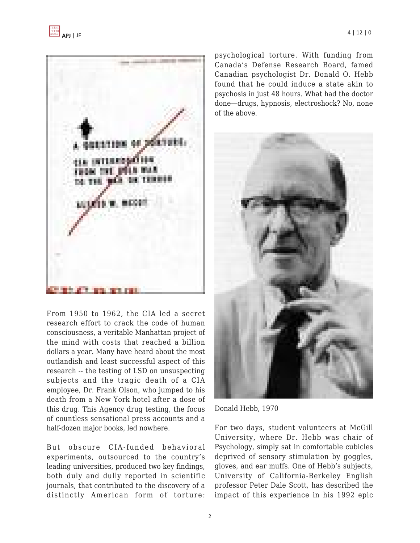

From 1950 to 1962, the CIA led a secret research effort to crack the code of human consciousness, a veritable Manhattan project of the mind with costs that reached a billion dollars a year. Many have heard about the most outlandish and least successful aspect of this research -- the testing of LSD on unsuspecting subjects and the tragic death of a CIA employee, Dr. Frank Olson, who jumped to his death from a New York hotel after a dose of this drug. This Agency drug testing, the focus of countless sensational press accounts and a half-dozen major books, led nowhere.

But obscure CIA-funded behavioral experiments, outsourced to the country's leading universities, produced two key findings, both duly and dully reported in scientific journals, that contributed to the discovery of a distinctly American form of torture: psychological torture. With funding from Canada's Defense Research Board, famed Canadian psychologist Dr. Donald O. Hebb found that he could induce a state akin to psychosis in just 48 hours. What had the doctor done—drugs, hypnosis, electroshock? No, none of the above.



Donald Hebb, 1970

For two days, student volunteers at McGill University, where Dr. Hebb was chair of Psychology, simply sat in comfortable cubicles deprived of sensory stimulation by goggles, gloves, and ear muffs. One of Hebb's subjects, University of California-Berkeley English professor Peter Dale Scott, has described the impact of this experience in his 1992 epic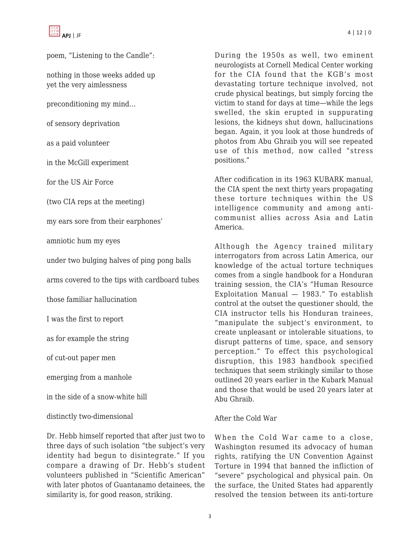poem, "Listening to the Candle":

nothing in those weeks added up yet the very aimlessness

preconditioning my mind…

of sensory deprivation

as a paid volunteer

in the McGill experiment

for the US Air Force

(two CIA reps at the meeting)

my ears sore from their earphones'

amniotic hum my eyes

under two bulging halves of ping pong balls

arms covered to the tips with cardboard tubes

those familiar hallucination

I was the first to report

as for example the string

of cut-out paper men

emerging from a manhole

in the side of a snow-white hill

distinctly two-dimensional

Dr. Hebb himself reported that after just two to three days of such isolation "the subject's very identity had begun to disintegrate." If you compare a drawing of Dr. Hebb's student volunteers published in "Scientific American" with later photos of Guantanamo detainees, the similarity is, for good reason, striking.

During the 1950s as well, two eminent neurologists at Cornell Medical Center working for the CIA found that the KGB's most devastating torture technique involved, not crude physical beatings, but simply forcing the victim to stand for days at time—while the legs swelled, the skin erupted in suppurating lesions, the kidneys shut down, hallucinations began. Again, it you look at those hundreds of photos from Abu Ghraib you will see repeated use of this method, now called "stress positions."

After codification in its 1963 KUBARK manual, the CIA spent the next thirty years propagating these torture techniques within the US intelligence community and among anticommunist allies across Asia and Latin America.

Although the Agency trained military interrogators from across Latin America, our knowledge of the actual torture techniques comes from a single handbook for a Honduran training session, the CIA's "Human Resource Exploitation Manual — 1983." To establish control at the outset the questioner should, the CIA instructor tells his Honduran trainees, "manipulate the subject's environment, to create unpleasant or intolerable situations, to disrupt patterns of time, space, and sensory perception." To effect this psychological disruption, this 1983 handbook specified techniques that seem strikingly similar to those outlined 20 years earlier in the Kubark Manual and those that would be used 20 years later at Abu Ghraib.

# After the Cold War

When the Cold War came to a close, Washington resumed its advocacy of human rights, ratifying the UN Convention Against Torture in 1994 that banned the infliction of "severe" psychological and physical pain. On the surface, the United States had apparently resolved the tension between its anti-torture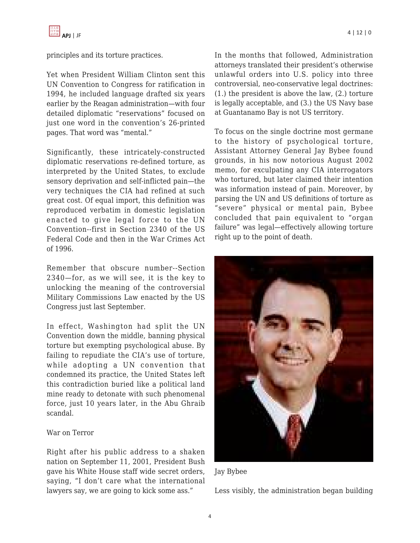principles and its torture practices.

Yet when President William Clinton sent this UN Convention to Congress for ratification in 1994, he included language drafted six years earlier by the Reagan administration—with four detailed diplomatic "reservations" focused on just one word in the convention's 26-printed pages. That word was "mental."

Significantly, these intricately-constructed diplomatic reservations re-defined torture, as interpreted by the United States, to exclude sensory deprivation and self-inflicted pain—the very techniques the CIA had refined at such great cost. Of equal import, this definition was reproduced verbatim in domestic legislation enacted to give legal force to the UN Convention--first in Section 2340 of the US Federal Code and then in the War Crimes Act of 1996.

Remember that obscure number--Section 2340—for, as we will see, it is the key to unlocking the meaning of the controversial Military Commissions Law enacted by the US Congress just last September.

In effect, Washington had split the UN Convention down the middle, banning physical torture but exempting psychological abuse. By failing to repudiate the CIA's use of torture, while adopting a UN convention that condemned its practice, the United States left this contradiction buried like a political land mine ready to detonate with such phenomenal force, just 10 years later, in the Abu Ghraib scandal.

# War on Terror

Right after his public address to a shaken nation on September 11, 2001, President Bush gave his White House staff wide secret orders, saying, "I don't care what the international lawyers say, we are going to kick some ass."

In the months that followed, Administration attorneys translated their president's otherwise unlawful orders into U.S. policy into three controversial, neo-conservative legal doctrines: (1.) the president is above the law, (2.) torture is legally acceptable, and (3.) the US Navy base at Guantanamo Bay is not US territory.

To focus on the single doctrine most germane to the history of psychological torture, Assistant Attorney General Jay Bybee found grounds, in his now notorious August 2002 memo, for exculpating any CIA interrogators who tortured, but later claimed their intention was information instead of pain. Moreover, by parsing the UN and US definitions of torture as "severe" physical or mental pain, Bybee concluded that pain equivalent to "organ failure" was legal—effectively allowing torture right up to the point of death.



Jay Bybee

Less visibly, the administration began building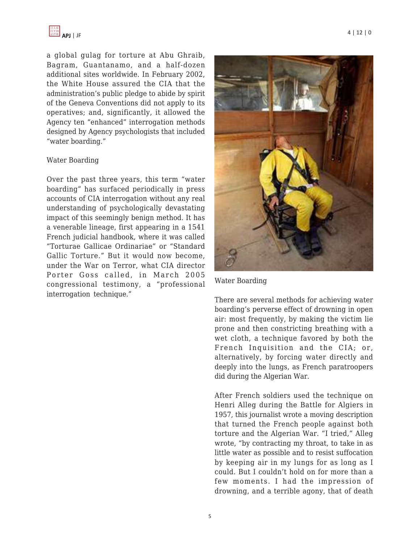a global gulag for torture at Abu Ghraib, Bagram, Guantanamo, and a half-dozen additional sites worldwide. In February 2002, the White House assured the CIA that the administration's public pledge to abide by spirit of the Geneva Conventions did not apply to its operatives; and, significantly, it allowed the Agency ten "enhanced" interrogation methods designed by Agency psychologists that included "water boarding."

#### Water Boarding

Over the past three years, this term "water boarding" has surfaced periodically in press accounts of CIA interrogation without any real understanding of psychologically devastating impact of this seemingly benign method. It has a venerable lineage, first appearing in a 1541 French judicial handbook, where it was called "Torturae Gallicae Ordinariae" or "Standard Gallic Torture." But it would now become, under the War on Terror, what CIA director Porter Goss called, in March 2005 congressional testimony, a "professional interrogation technique."



Water Boarding

There are several methods for achieving water boarding's perverse effect of drowning in open air: most frequently, by making the victim lie prone and then constricting breathing with a wet cloth, a technique favored by both the French Inquisition and the CIA; or, alternatively, by forcing water directly and deeply into the lungs, as French paratroopers did during the Algerian War.

After French soldiers used the technique on Henri Alleg during the Battle for Algiers in 1957, this journalist wrote a moving description that turned the French people against both torture and the Algerian War. "I tried," Alleg wrote, "by contracting my throat, to take in as little water as possible and to resist suffocation by keeping air in my lungs for as long as I could. But I couldn't hold on for more than a few moments. I had the impression of drowning, and a terrible agony, that of death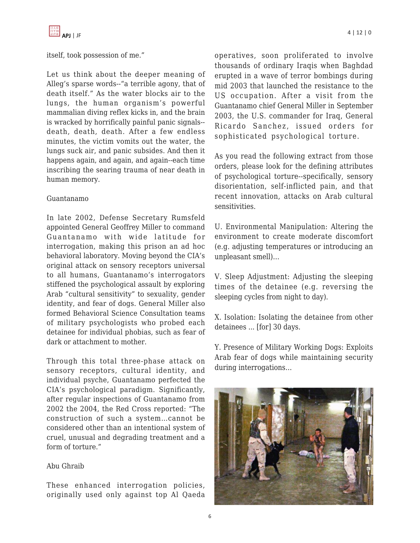

itself, took possession of me."

Let us think about the deeper meaning of Alleg's sparse words--"a terrible agony, that of death itself." As the water blocks air to the lungs, the human organism's powerful mammalian diving reflex kicks in, and the brain is wracked by horrifically painful panic signals- death, death, death. After a few endless minutes, the victim vomits out the water, the lungs suck air, and panic subsides. And then it happens again, and again, and again--each time inscribing the searing trauma of near death in human memory.

#### Guantanamo

In late 2002, Defense Secretary Rumsfeld appointed General Geoffrey Miller to command Guantanamo with wide latitude for interrogation, making this prison an ad hoc behavioral laboratory. Moving beyond the CIA's original attack on sensory receptors universal to all humans, Guantanamo's interrogators stiffened the psychological assault by exploring Arab "cultural sensitivity" to sexuality, gender identity, and fear of dogs. General Miller also formed Behavioral Science Consultation teams of military psychologists who probed each detainee for individual phobias, such as fear of dark or attachment to mother.

Through this total three-phase attack on sensory receptors, cultural identity, and individual psyche, Guantanamo perfected the CIA's psychological paradigm. Significantly, after regular inspections of Guantanamo from 2002 the 2004, the Red Cross reported: "The construction of such a system…cannot be considered other than an intentional system of cruel, unusual and degrading treatment and a form of torture."

# Abu Ghraib

These enhanced interrogation policies, originally used only against top Al Qaeda operatives, soon proliferated to involve thousands of ordinary Iraqis when Baghdad erupted in a wave of terror bombings during mid 2003 that launched the resistance to the US occupation. After a visit from the Guantanamo chief General Miller in September 2003, the U.S. commander for Iraq, General Ricardo Sanchez, issued orders for sophisticated psychological torture.

As you read the following extract from those orders, please look for the defining attributes of psychological torture--specifically, sensory disorientation, self-inflicted pain, and that recent innovation, attacks on Arab cultural sensitivities.

U. Environmental Manipulation: Altering the environment to create moderate discomfort (e.g. adjusting temperatures or introducing an unpleasant smell)…

V. Sleep Adjustment: Adjusting the sleeping times of the detainee (e.g. reversing the sleeping cycles from night to day).

X. Isolation: Isolating the detainee from other detainees ... [for] 30 days.

Y. Presence of Military Working Dogs: Exploits Arab fear of dogs while maintaining security during interrogations…

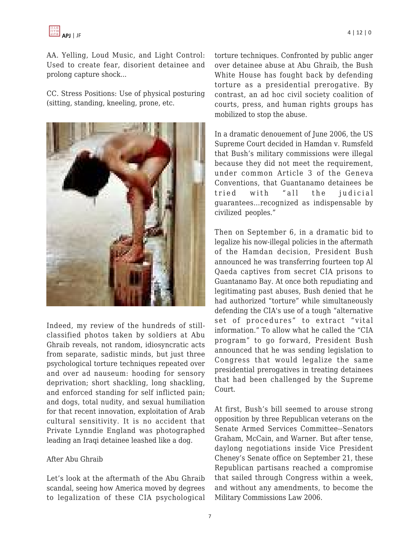

AA. Yelling, Loud Music, and Light Control: Used to create fear, disorient detainee and prolong capture shock...

CC. Stress Positions: Use of physical posturing (sitting, standing, kneeling, prone, etc.



Indeed, my review of the hundreds of stillclassified photos taken by soldiers at Abu Ghraib reveals, not random, idiosyncratic acts from separate, sadistic minds, but just three psychological torture techniques repeated over and over ad nauseum: hooding for sensory deprivation; short shackling, long shackling, and enforced standing for self inflicted pain; and dogs, total nudity, and sexual humiliation for that recent innovation, exploitation of Arab cultural sensitivity. It is no accident that Private Lynndie England was photographed leading an Iraqi detainee leashed like a dog.

#### After Abu Ghraib

Let's look at the aftermath of the Abu Ghraib scandal, seeing how America moved by degrees to legalization of these CIA psychological torture techniques. Confronted by public anger over detainee abuse at Abu Ghraib, the Bush White House has fought back by defending torture as a presidential prerogative. By contrast, an ad hoc civil society coalition of courts, press, and human rights groups has mobilized to stop the abuse.

In a dramatic denouement of June 2006, the US Supreme Court decided in Hamdan v. Rumsfeld that Bush's military commissions were illegal because they did not meet the requirement, under common Article 3 of the Geneva Conventions, that Guantanamo detainees be tried with "all the judicial guarantees…recognized as indispensable by civilized peoples."

Then on September 6, in a dramatic bid to legalize his now-illegal policies in the aftermath of the Hamdan decision, President Bush announced he was transferring fourteen top Al Qaeda captives from secret CIA prisons to Guantanamo Bay. At once both repudiating and legitimating past abuses, Bush denied that he had authorized "torture" while simultaneously defending the CIA's use of a tough "alternative set of procedures" to extract "vital information." To allow what he called the "CIA program" to go forward, President Bush announced that he was sending legislation to Congress that would legalize the same presidential prerogatives in treating detainees that had been challenged by the Supreme Court.

At first, Bush's bill seemed to arouse strong opposition by three Republican veterans on the Senate Armed Services Committee--Senators Graham, McCain, and Warner. But after tense, daylong negotiations inside Vice President Cheney's Senate office on September 21, these Republican partisans reached a compromise that sailed through Congress within a week, and without any amendments, to become the Military Commissions Law 2006.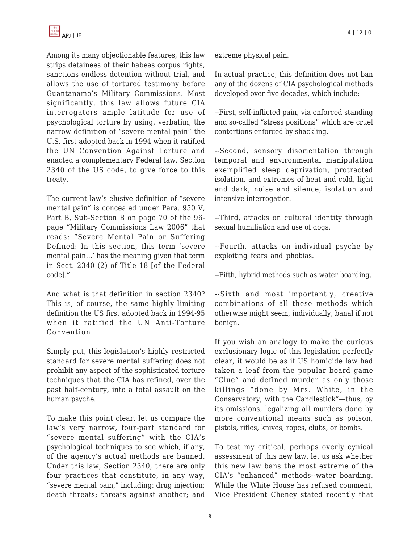Among its many objectionable features, this law strips detainees of their habeas corpus rights, sanctions endless detention without trial, and allows the use of tortured testimony before Guantanamo's Military Commissions. Most significantly, this law allows future CIA interrogators ample latitude for use of psychological torture by using, verbatim, the narrow definition of "severe mental pain" the U.S. first adopted back in 1994 when it ratified the UN Convention Against Torture and enacted a complementary Federal law, Section 2340 of the US code, to give force to this treaty.

The current law's elusive definition of "severe mental pain" is concealed under Para. 950 V, Part B, Sub-Section B on page 70 of the 96 page "Military Commissions Law 2006" that reads: "Severe Mental Pain or Suffering Defined: In this section, this term 'severe mental pain…' has the meaning given that term in Sect. 2340 (2) of Title 18 [of the Federal code]."

And what is that definition in section 2340? This is, of course, the same highly limiting definition the US first adopted back in 1994-95 when it ratified the UN Anti-Torture Convention.

Simply put, this legislation's highly restricted standard for severe mental suffering does not prohibit any aspect of the sophisticated torture techniques that the CIA has refined, over the past half-century, into a total assault on the human psyche.

To make this point clear, let us compare the law's very narrow, four-part standard for "severe mental suffering" with the CIA's psychological techniques to see which, if any, of the agency's actual methods are banned. Under this law, Section 2340, there are only four practices that constitute, in any way, "severe mental pain," including: drug injection; death threats; threats against another; and extreme physical pain.

In actual practice, this definition does not ban any of the dozens of CIA psychological methods developed over five decades, which include:

--First, self-inflicted pain, via enforced standing and so-called "stress positions" which are cruel contortions enforced by shackling.

--Second, sensory disorientation through temporal and environmental manipulation exemplified sleep deprivation, protracted isolation, and extremes of heat and cold, light and dark, noise and silence, isolation and intensive interrogation.

--Third, attacks on cultural identity through sexual humiliation and use of dogs.

--Fourth, attacks on individual psyche by exploiting fears and phobias.

--Fifth, hybrid methods such as water boarding.

--Sixth and most importantly, creative combinations of all these methods which otherwise might seem, individually, banal if not benign.

If you wish an analogy to make the curious exclusionary logic of this legislation perfectly clear, it would be as if US homicide law had taken a leaf from the popular board game "Clue" and defined murder as only those killings "done by Mrs. White, in the Conservatory, with the Candlestick"—thus, by its omissions, legalizing all murders done by more conventional means such as poison, pistols, rifles, knives, ropes, clubs, or bombs.

To test my critical, perhaps overly cynical assessment of this new law, let us ask whether this new law bans the most extreme of the CIA's "enhanced" methods--water boarding. While the White House has refused comment, Vice President Cheney stated recently that